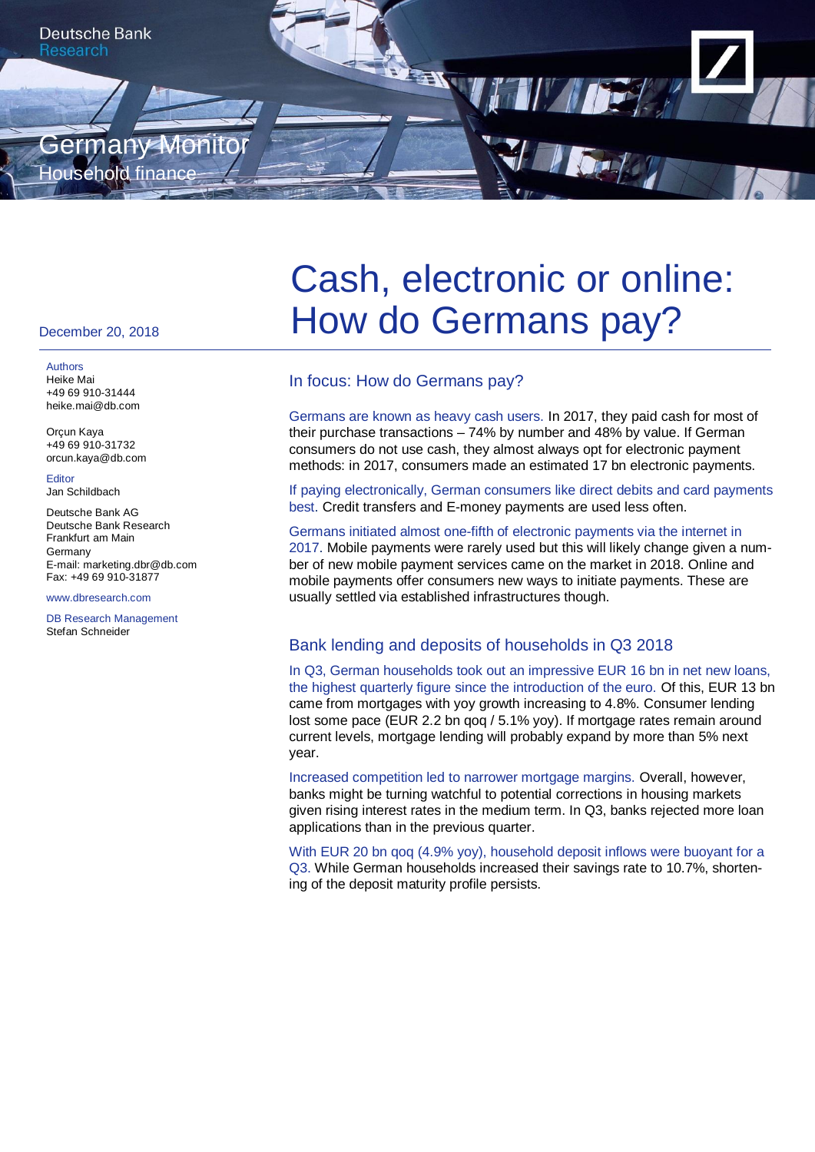

#### December 20, 2018

Authors Heike Mai +49 69 910-31444 heike.mai@db.com

Orçun Kaya +49 69 910-31732 orcun.kaya@db.com

**Editor** Jan Schildbach

Deutsche Bank AG Deutsche Bank Research Frankfurt am Main Germany E-mail: marketing.dbr@db.com Fax: +49 69 910-31877

#### www.dbresearch.com

DB Research Management Stefan Schneider

# Cash, electronic or online: How do Germans pay?

## In focus: How do Germans pay?

Germans are known as heavy cash users. In 2017, they paid cash for most of their purchase transactions – 74% by number and 48% by value. If German consumers do not use cash, they almost always opt for electronic payment methods: in 2017, consumers made an estimated 17 bn electronic payments.

If paying electronically, German consumers like direct debits and card payments best. Credit transfers and E-money payments are used less often.

#### Germans initiated almost one-fifth of electronic payments via the internet in 2017. Mobile payments were rarely used but this will likely change given a num-

ber of new mobile payment services came on the market in 2018. Online and mobile payments offer consumers new ways to initiate payments. These are usually settled via established infrastructures though.

## Bank lending and deposits of households in Q3 2018

In Q3, German households took out an impressive EUR 16 bn in net new loans, the highest quarterly figure since the introduction of the euro. Of this, EUR 13 bn came from mortgages with yoy growth increasing to 4.8%. Consumer lending lost some pace (EUR 2.2 bn qoq / 5.1% yoy). If mortgage rates remain around current levels, mortgage lending will probably expand by more than 5% next year.

Increased competition led to narrower mortgage margins. Overall, however, banks might be turning watchful to potential corrections in housing markets given rising interest rates in the medium term. In Q3, banks rejected more loan applications than in the previous quarter.

With EUR 20 bn gog (4.9% yoy), household deposit inflows were buoyant for a Q3. While German households increased their savings rate to 10.7%, shortening of the deposit maturity profile persists.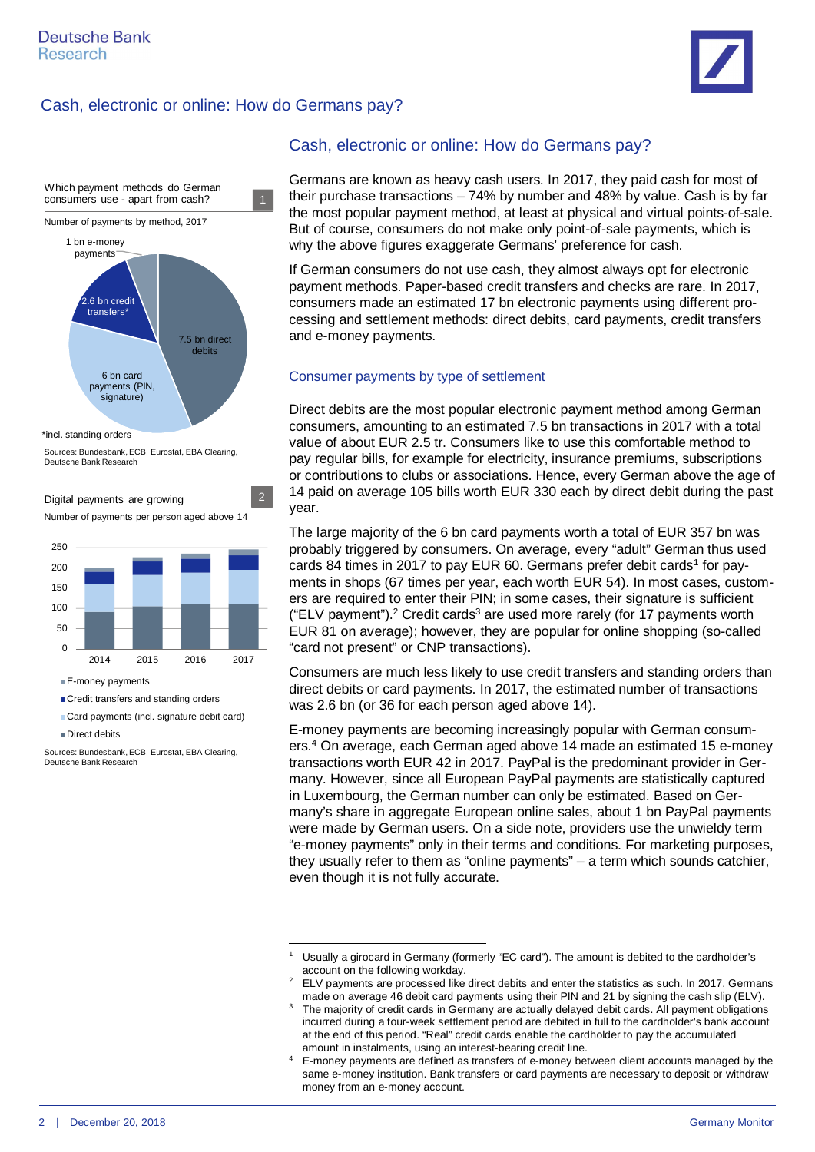## Cash, electronic or online: How do Germans pay?





\*incl. standing orders

Sources: Bundesbank, ECB, Eurostat, EBA Clearing, Deutsche Bank Research



Card payments (incl. signature debit card) Direct debits

Sources: Bundesbank, ECB, Eurostat, EBA Clearing, Deutsche Bank Research

## Cash, electronic or online: How do Germans pay?

Germans are known as heavy cash users. In 2017, they paid cash for most of their purchase transactions – 74% by number and 48% by value. Cash is by far the most popular payment method, at least at physical and virtual points-of-sale. But of course, consumers do not make only point-of-sale payments, which is why the above figures exaggerate Germans' preference for cash.

If German consumers do not use cash, they almost always opt for electronic payment methods. Paper-based credit transfers and checks are rare. In 2017, consumers made an estimated 17 bn electronic payments using different processing and settlement methods: direct debits, card payments, credit transfers and e-money payments.

## Consumer payments by type of settlement

Direct debits are the most popular electronic payment method among German consumers, amounting to an estimated 7.5 bn transactions in 2017 with a total value of about EUR 2.5 tr. Consumers like to use this comfortable method to pay regular bills, for example for electricity, insurance premiums, subscriptions or contributions to clubs or associations. Hence, every German above the age of 14 paid on average 105 bills worth EUR 330 each by direct debit during the past year.

The large majority of the 6 bn card payments worth a total of EUR 357 bn was probably triggered by consumers. On average, every "adult" German thus used cards 84 times in 20[1](#page-1-0)7 to pay EUR 60. Germans prefer debit cards<sup>1</sup> for payments in shops (67 times per year, each worth EUR 54). In most cases, customers are required to enter their PIN; in some cases, their signature is sufficient ("ELV payment").<sup>[2](#page-1-1)</sup> Credit cards<sup>[3](#page-1-2)</sup> are used more rarely (for 17 payments worth EUR 81 on average); however, they are popular for online shopping (so-called "card not present" or CNP transactions).

Consumers are much less likely to use credit transfers and standing orders than direct debits or card payments. In 2017, the estimated number of transactions was 2.6 bn (or 36 for each person aged above 14).

E-money payments are becoming increasingly popular with German consumers.[4](#page-1-3) On average, each German aged above 14 made an estimated 15 e-money transactions worth EUR 42 in 2017. PayPal is the predominant provider in Germany. However, since all European PayPal payments are statistically captured in Luxembourg, the German number can only be estimated. Based on Germany's share in aggregate European online sales, about 1 bn PayPal payments were made by German users. On a side note, providers use the unwieldy term "e-money payments" only in their terms and conditions. For marketing purposes, they usually refer to them as "online payments" – a term which sounds catchier, even though it is not fully accurate.

<span id="page-1-0"></span><sup>1</sup> Usually a girocard in Germany (formerly "EC card"). The amount is debited to the cardholder's account on the following workday.

<span id="page-1-1"></span><sup>2</sup> ELV payments are processed like direct debits and enter the statistics as such. In 2017, Germans made on average 46 debit card payments using their PIN and 21 by signing the cash slip (ELV).

<span id="page-1-2"></span><sup>3</sup> The majority of credit cards in Germany are actually delayed debit cards. All payment obligations incurred during a four-week settlement period are debited in full to the cardholder's bank account at the end of this period. "Real" credit cards enable the cardholder to pay the accumulated amount in instalments, using an interest-bearing credit line.

<span id="page-1-3"></span><sup>4</sup> E-money payments are defined as transfers of e-money between client accounts managed by the same e-money institution. Bank transfers or card payments are necessary to deposit or withdraw money from an e-money account.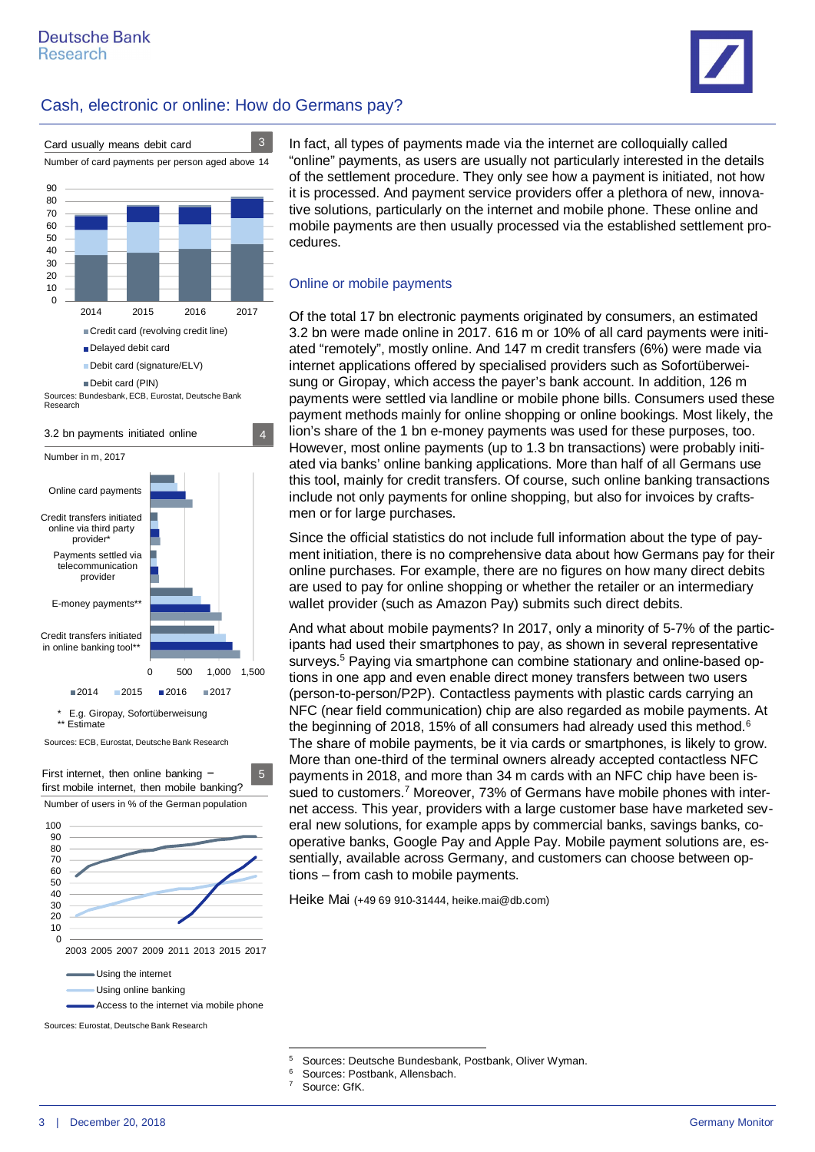

## Cash, electronic or online: How do Germans pay?



First internet, then online banking – first mobile internet, then mobile banking? 5 Number of users in % of the German population



Using online banking

Sources: Eurostat, Deutsche Bank Research

In fact, all types of payments made via the internet are colloquially called "online" payments, as users are usually not particularly interested in the details of the settlement procedure. They only see how a payment is initiated, not how it is processed. And payment service providers offer a plethora of new, innovative solutions, particularly on the internet and mobile phone. These online and mobile payments are then usually processed via the established settlement procedures.

### Online or mobile payments

Of the total 17 bn electronic payments originated by consumers, an estimated 3.2 bn were made online in 2017. 616 m or 10% of all card payments were initiated "remotely", mostly online. And 147 m credit transfers (6%) were made via internet applications offered by specialised providers such as Sofortüberweisung or Giropay, which access the payer's bank account. In addition, 126 m payments were settled via landline or mobile phone bills. Consumers used these payment methods mainly for online shopping or online bookings. Most likely, the lion's share of the 1 bn e-money payments was used for these purposes, too. However, most online payments (up to 1.3 bn transactions) were probably initiated via banks' online banking applications. More than half of all Germans use this tool, mainly for credit transfers. Of course, such online banking transactions include not only payments for online shopping, but also for invoices by craftsmen or for large purchases.

Since the official statistics do not include full information about the type of payment initiation, there is no comprehensive data about how Germans pay for their online purchases. For example, there are no figures on how many direct debits are used to pay for online shopping or whether the retailer or an intermediary wallet provider (such as Amazon Pay) submits such direct debits.

And what about mobile payments? In 2017, only a minority of 5-7% of the participants had used their smartphones to pay, as shown in several representative surveys.<sup>[5](#page-2-0)</sup> Paying via smartphone can combine stationary and online-based options in one app and even enable direct money transfers between two users (person-to-person/P2P). Contactless payments with plastic cards carrying an NFC (near field communication) chip are also regarded as mobile payments. At the beginning of 2018, 15% of all consumers had already used this method.<sup>[6](#page-2-1)</sup> The share of mobile payments, be it via cards or smartphones, is likely to grow. More than one-third of the terminal owners already accepted contactless NFC payments in 2018, and more than 34 m cards with an NFC chip have been is-sued to customers.<sup>[7](#page-2-2)</sup> Moreover, 73% of Germans have mobile phones with internet access. This year, providers with a large customer base have marketed several new solutions, for example apps by commercial banks, savings banks, cooperative banks, Google Pay and Apple Pay. Mobile payment solutions are, essentially, available across Germany, and customers can choose between options – from cash to mobile payments.

Heike Mai (+49 69 910-31444, heike.mai@db.com)

- <span id="page-2-1"></span>6 Sources: Postbank, Allensbach.
- <span id="page-2-2"></span>7 Source: GfK.

Access to the internet via mobile phone

<span id="page-2-0"></span><sup>5</sup> Sources: Deutsche Bundesbank, Postbank, Oliver Wyman.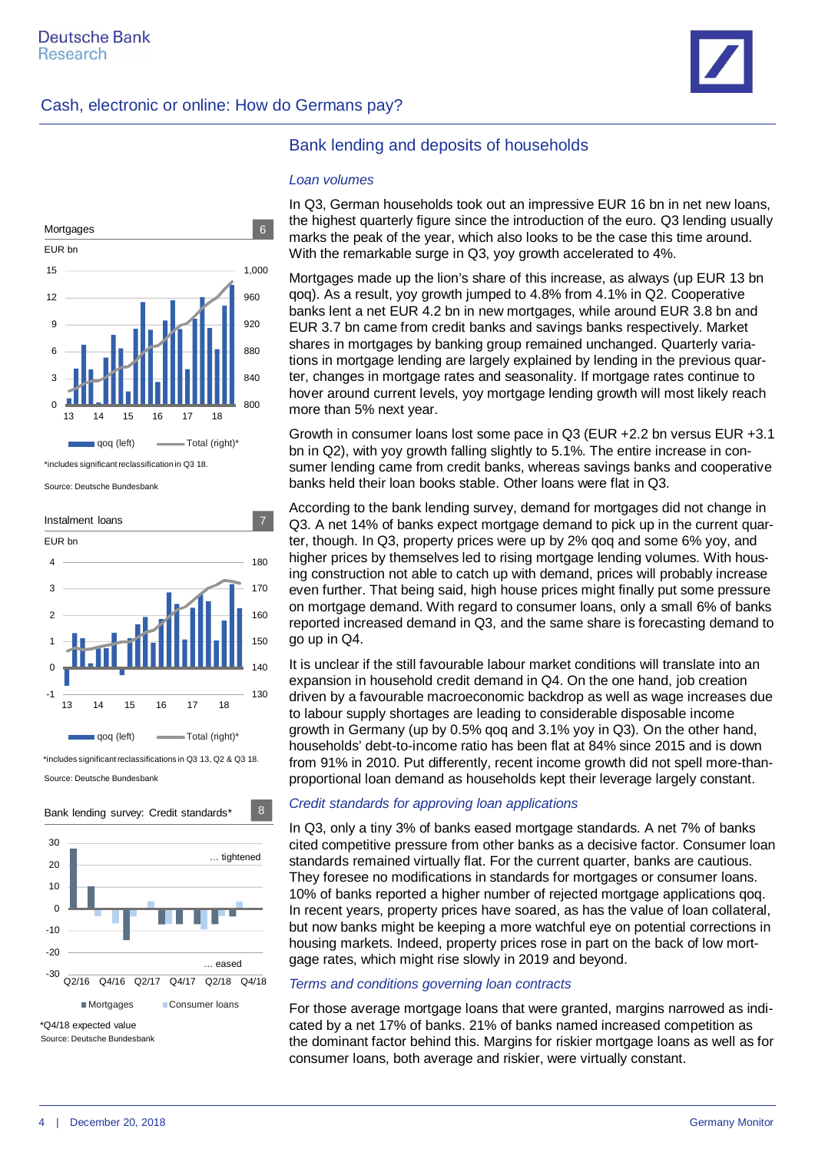





\*includes significant reclassification in Q3 18.

Source: Deutsche Bundesbank



Source: Deutsche Bundesbank



## Bank lending and deposits of households

#### *Loan volumes*

In Q3, German households took out an impressive EUR 16 bn in net new loans, the highest quarterly figure since the introduction of the euro. Q3 lending usually marks the peak of the year, which also looks to be the case this time around. With the remarkable surge in Q3, yoy growth accelerated to 4%.

Mortgages made up the lion's share of this increase, as always (up EUR 13 bn qoq). As a result, yoy growth jumped to 4.8% from 4.1% in Q2. Cooperative banks lent a net EUR 4.2 bn in new mortgages, while around EUR 3.8 bn and EUR 3.7 bn came from credit banks and savings banks respectively. Market shares in mortgages by banking group remained unchanged. Quarterly variations in mortgage lending are largely explained by lending in the previous quarter, changes in mortgage rates and seasonality. If mortgage rates continue to hover around current levels, yoy mortgage lending growth will most likely reach more than 5% next year.

Growth in consumer loans lost some pace in Q3 (EUR +2.2 bn versus EUR +3.1 bn in Q2), with yoy growth falling slightly to 5.1%. The entire increase in consumer lending came from credit banks, whereas savings banks and cooperative banks held their loan books stable. Other loans were flat in Q3.

According to the bank lending survey, demand for mortgages did not change in Q3. A net 14% of banks expect mortgage demand to pick up in the current quarter, though. In Q3, property prices were up by 2% qoq and some 6% yoy, and higher prices by themselves led to rising mortgage lending volumes. With housing construction not able to catch up with demand, prices will probably increase even further. That being said, high house prices might finally put some pressure on mortgage demand. With regard to consumer loans, only a small 6% of banks reported increased demand in Q3, and the same share is forecasting demand to go up in Q4.

It is unclear if the still favourable labour market conditions will translate into an expansion in household credit demand in Q4. On the one hand, job creation driven by a favourable macroeconomic backdrop as well as wage increases due to labour supply shortages are leading to considerable disposable income growth in Germany (up by 0.5% qoq and 3.1% yoy in Q3). On the other hand, households' debt-to-income ratio has been flat at 84% since 2015 and is down from 91% in 2010. Put differently, recent income growth did not spell more-thanproportional loan demand as households kept their leverage largely constant.

#### *Credit standards for approving loan applications*

In Q3, only a tiny 3% of banks eased mortgage standards. A net 7% of banks cited competitive pressure from other banks as a decisive factor. Consumer loan standards remained virtually flat. For the current quarter, banks are cautious. They foresee no modifications in standards for mortgages or consumer loans. 10% of banks reported a higher number of rejected mortgage applications qoq. In recent years, property prices have soared, as has the value of loan collateral, but now banks might be keeping a more watchful eye on potential corrections in housing markets. Indeed, property prices rose in part on the back of low mortgage rates, which might rise slowly in 2019 and beyond.

#### *Terms and conditions governing loan contracts*

For those average mortgage loans that were granted, margins narrowed as indicated by a net 17% of banks. 21% of banks named increased competition as the dominant factor behind this. Margins for riskier mortgage loans as well as for consumer loans, both average and riskier, were virtually constant.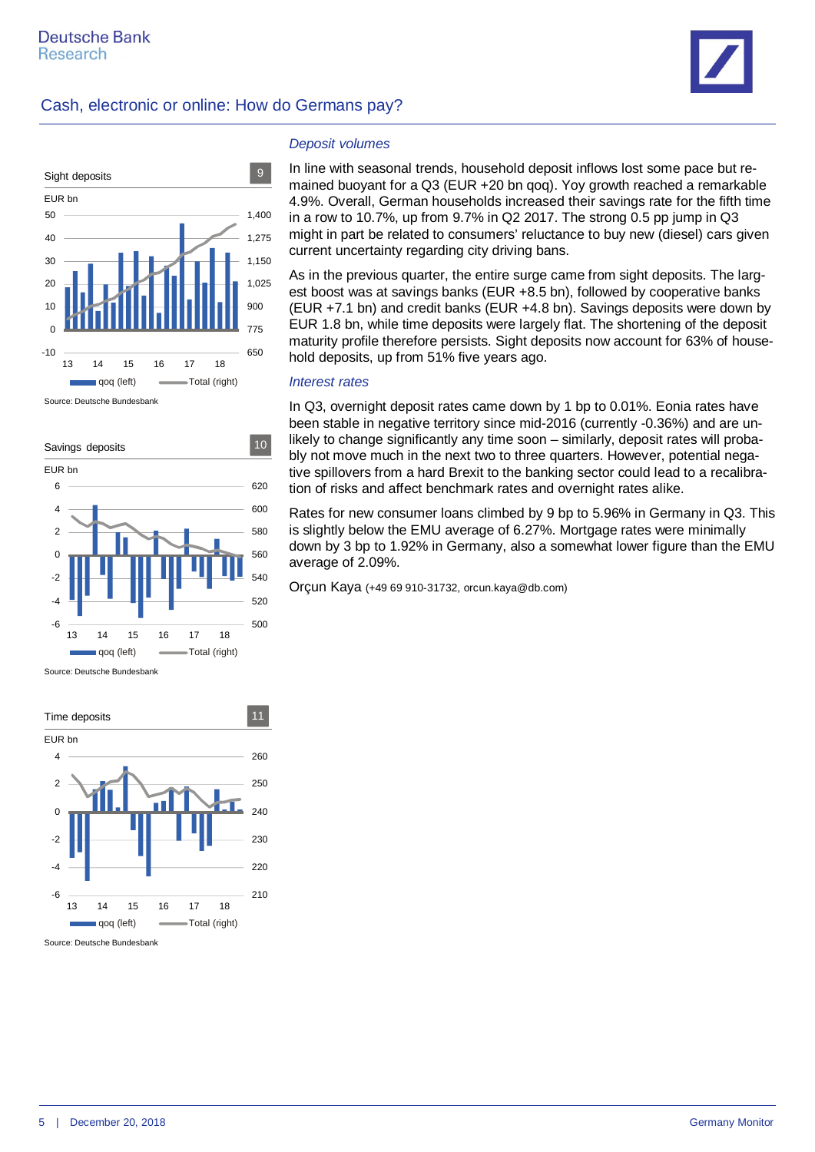





Source: Deutsche Bundesbank



Source: Deutsche Bundesbank



Source: Deutsche Bundesbank

#### *Deposit volumes*

In line with seasonal trends, household deposit inflows lost some pace but remained buoyant for a Q3 (EUR +20 bn qoq). Yoy growth reached a remarkable 4.9%. Overall, German households increased their savings rate for the fifth time in a row to 10.7%, up from 9.7% in Q2 2017. The strong 0.5 pp jump in Q3 might in part be related to consumers' reluctance to buy new (diesel) cars given current uncertainty regarding city driving bans.

As in the previous quarter, the entire surge came from sight deposits. The largest boost was at savings banks (EUR +8.5 bn), followed by cooperative banks (EUR +7.1 bn) and credit banks (EUR +4.8 bn). Savings deposits were down by EUR 1.8 bn, while time deposits were largely flat. The shortening of the deposit maturity profile therefore persists. Sight deposits now account for 63% of household deposits, up from 51% five years ago.

#### *Interest rates*

In Q3, overnight deposit rates came down by 1 bp to 0.01%. Eonia rates have been stable in negative territory since mid-2016 (currently -0.36%) and are unlikely to change significantly any time soon – similarly, deposit rates will probably not move much in the next two to three quarters. However, potential negative spillovers from a hard Brexit to the banking sector could lead to a recalibration of risks and affect benchmark rates and overnight rates alike.

Rates for new consumer loans climbed by 9 bp to 5.96% in Germany in Q3. This is slightly below the EMU average of 6.27%. Mortgage rates were minimally down by 3 bp to 1.92% in Germany, also a somewhat lower figure than the EMU average of 2.09%.

Orçun Kaya (+49 69 910-31732, orcun.kaya@db.com)